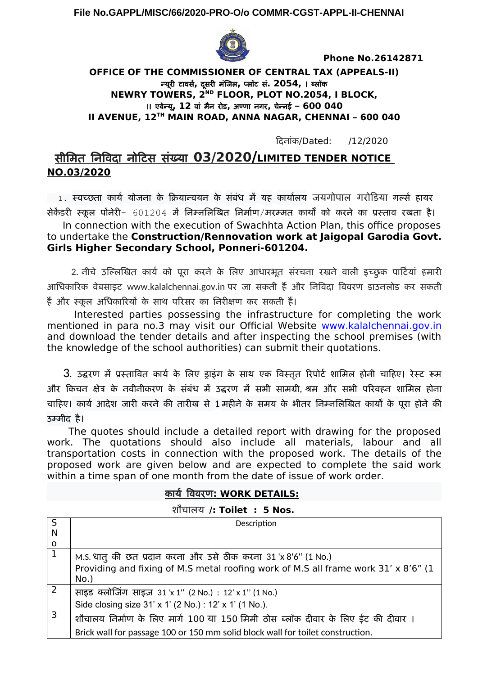**File No.GAPPL/MISC/66/2020-PRO-O/o COMMR-CGST-APPL-II-CHENNAI**



 **Phone No.26142871** 

#### **OFFICE OF THE COMMISSIONER OF CENTRAL TAX (APPEALS-II)** न्यूरी टावर्स**,** दूर्स री मंजिल**,** प्लॉटा र्स**. 2054,** । ब्लॉक **NEWRY TOWERS, 2ND FLOOR, PLOT NO.2054, I BLOCK,**  ।। एवेन्यू**, 12** वां मंन रीड**,** अण्णा नगरी**,** चेन्नई – **600 040 II AVENUE, 12TH MAIN ROAD, ANNA NAGAR, CHENNAI – 600 040**

दिदूनांक/Dated: /12/2020

# र्स%मिमंत निविदू नोदिटार्स र्सख्यू **03/2020 / LIMITED TENDER NOTICE NO.03/2020**

 $\,$   $\,$  1. स्वच्छता कार्य योजना के क्रियान्वयन के संबंध में यह कार्यालय जयगोपाल गरोडिया गर्ल्स हायर

सेकेंडरी स्कूल पोनेरी- 601204 में निम्नलिखित निर्माण/मरम्मत कार्यों को करने का प्रस्ताव रखता है। In connection with the execution of Swachhta Action Plan, this office proposes to undertake the **Construction/Rennovation work at Jaigopal Garodia Govt. Girls Higher Secondary School, Ponneri-601204.** 

2. नीचे उल्लिखित कार्य को पुरा करने के लिए आधारभूत संरचना रखने वाली इच्छुक पार्टियां हमारी आधिकारिक वेबसाइट www.kalalchennai.gov.in पर जा सकती हैं और निविदा विवरण डाउनलोड कर सकती हैं और स्कूल अधिकारियों के साथ परिसर का निरीक्षण कर सकती हैं।

 Interested parties possessing the infrastructure for completing the work mentioned in para no.3 may visit our Official Website [www.kalalchennai.gov.in](http://www.kalalchennai.gov.in/) and download the tender details and after inspecting the school premises (with the knowledge of the school authorities) can submit their quotations.

3. उद्धरण में प्रस्तावित कार्य के लिए डाइंग के साथ एक विस्तृत रिपोर्ट शामिल होनी चाहिए। रेस्ट रूम और किचन क्षेत्र के नवीनीकरण के संबंध में उद्धरण में सभी सामग्री, श्रम और सभी परिवहन शामिल होना चाहिए। कार्य आदेश जारी करने की तारीख से 1 महीने के समय के भीतर निम्नलिखित कार्यों के पूरा होने की उम्मीद है।

 The quotes should include a detailed report with drawing for the proposed work. The quotations should also include all materials, labour and all transportation costs in connection with the proposed work. The details of the proposed work are given below and are expected to complete the said work within a time span of one month from the date of issue of work order.

## कायू विवरीणा **: WORK DETAILS:**

शौचालय /**: Toilet : 5 Nos.** 

| S | Description                                                                                   |
|---|-----------------------------------------------------------------------------------------------|
| N |                                                                                               |
| O |                                                                                               |
|   | M.S. धातु की छत प्रदान करना और उसे ठीक करना 31 'x 8'6'' (1 No.)                               |
|   | Providing and fixing of M.S metal roofing work of M.S all frame work 31' x 8'6" (1<br>$No.$ ) |
| 2 | साइड क्लोजिंग साइज़ 31'x 1" (2 No.) : 12' x 1" (1 No.)                                        |
|   | Side closing size 31' x 1' (2 No.) : 12' x 1' (1 No.).                                        |
| 3 | शौचालय निर्माण के लिए मार्ग 100 या 150 मिमी ठोस ब्लॉक दीवार के लिए ईंट की दीवार ।             |
|   | Brick wall for passage 100 or 150 mm solid block wall for toilet construction.                |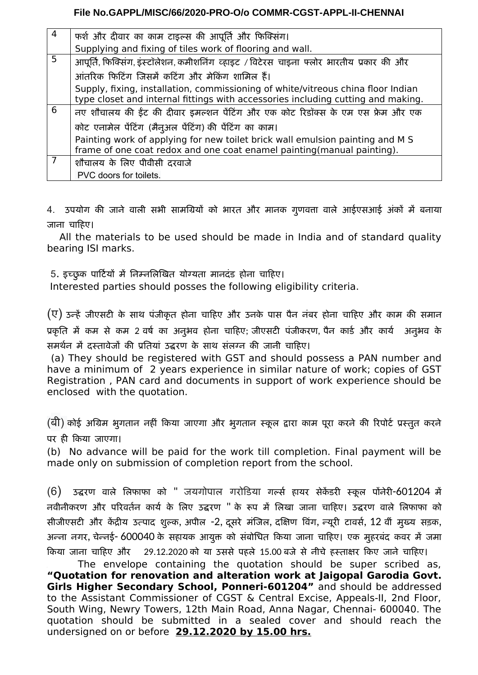### **File No.GAPPL/MISC/66/2020-PRO-O/o COMMR-CGST-APPL-II-CHENNAI**

| $\overline{4}$ | फर्श और दीवार का काम टाइल्स की आपूर्ति और फिक्सिंग।                                                                                                                  |
|----------------|----------------------------------------------------------------------------------------------------------------------------------------------------------------------|
|                | Supplying and fixing of tiles work of flooring and wall.                                                                                                             |
| 5              | आपूर्ति, फिक्सिंग, इंस्टॉलेशन, कमीशनिंग व्हाइट / विटेरस चाइना फ्लोर भारतीय प्रकार की और                                                                              |
|                | आंतरिक फिटिंग जिसमें कटिंग और मेकिंग शामिल हैं।                                                                                                                      |
|                | Supply, fixing, installation, commissioning of white/vitreous china floor Indian<br>type closet and internal fittings with accessories including cutting and making. |
| 6              | नए शौचालय की ईंट की दीवार इमल्शन पेंटिंग और एक कोट रिडॉक्स के एम एस फ्रेम और एक                                                                                      |
|                | कोट एनामेल पेंटिंग (मैनुअल पेंटिंग) की पेंटिंग का काम।                                                                                                               |
|                | Painting work of applying for new toilet brick wall emulsion painting and M S<br>frame of one coat redox and one coat enamel painting(manual painting).              |
| 7              | शौचालय के लिए पीवीसी दरवाजे                                                                                                                                          |
|                | PVC doors for toilets.                                                                                                                                               |

4. उपयोग की जाने वाली सभी सामग्रियों को भारत और मानक गुणवत्ता वाले आईएसआई अंकों में बनाया जाना चाहिए।

 All the materials to be used should be made in India and of standard quality bearing ISI marks.

5. इच्छुक पार्टियों में निम्नलिखित योग्यता मानदंड होना चाहिए।

Interested parties should posses the following eligibility criteria.

 $(\overline{\mathrm{U}})$  उन्हें जीएसटी के साथ पंजीकृत होना चाहिए और उनके पास पैन नंबर होना चाहिए और काम की समान प्रकृति में कम से कम 2 वर्ष का अनुभव होना चाहिए; जीएसटी पंजीकरण, पैन कार्ड और कार्य अनुभव के र्समर्थन में दस्तावेजों की प्रतियां उद्धरण के साथ संलग्न की जानी चाहिए।

 (a) They should be registered with GST and should possess a PAN number and have a minimum of 2 years experience in similar nature of work; copies of GST Registration , PAN card and documents in support of work experience should be enclosed with the quotation.

(बी) कोई अग्रिम भूगतान नहीं किया जाएगा और भूगतान स्कूल द्वारा काम पूरा करने की रिपोर्ट प्रस्तुत करने पर ही किया जाएगा।

(b) No advance will be paid for the work till completion. Final payment will be made only on submission of completion report from the school.

(6) उद्धरण वाले लिफाफा को " जयगोपाल गरोडिया गर्ल्स हायर सेकेंडरी स्कूल पोंनेरी-601204 में नवीनीकरण और परिवर्तन कार्य के लिए उद्धरण " के रूप में लिखा जाना चाहिए। उद्धरण वाले लिफाफा को र्सीजीएसटी और केंद्रीय उत्पाद शुल्क, अपील -2, दूसरे मंजिल, दक्षिण विंग, न्यूरी टावर्स, 12 वीं मुख्य सड़क, अन्ना नगर, चेन्नई- 600040 के सहायक आयुक्त को संबोधित किया जाना चाहिए। एक मुहरबंद कवर में जमा किया जाना चाहिए और 29.12.2020 को या उससे पहले 15.00 बजे से नीचे हस्ताक्षर किए जाने चाहिए।

The envelope containing the quotation should be super scribed as, **"Quotation for renovation and alteration work at Jaigopal Garodia Govt. Girls Higher Secondary School, Ponneri-601204"** and should be addressed to the Assistant Commissioner of CGST & Central Excise, Appeals-II, 2nd Floor, South Wing, Newry Towers, 12th Main Road, Anna Nagar, Chennai- 600040. The quotation should be submitted in a sealed cover and should reach the undersigned on or before **29.12.2020 by 15.00 hrs.**